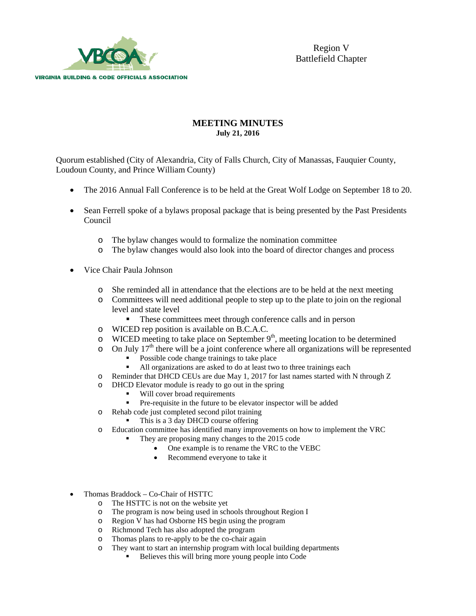

## **MEETING MINUTES July 21, 2016**

Quorum established (City of Alexandria, City of Falls Church, City of Manassas, Fauquier County, Loudoun County, and Prince William County)

- The 2016 Annual Fall Conference is to be held at the Great Wolf Lodge on September 18 to 20.
- Sean Ferrell spoke of a bylaws proposal package that is being presented by the Past Presidents Council
	- o The bylaw changes would to formalize the nomination committee
	- The bylaw changes would also look into the board of director changes and process
- Vice Chair Paula Johnson
	- o She reminded all in attendance that the elections are to be held at the next meeting
	- o Committees will need additional people to step up to the plate to join on the regional level and state level
		- These committees meet through conference calls and in person
	- o WICED rep position is available on B.C.A.C.
	- $\circ$  WICED meeting to take place on September 9<sup>th</sup>, meeting location to be determined
	- $\circ$  On July 17<sup>th</sup> there will be a joint conference where all organizations will be represented
		- Possible code change trainings to take place<br>all organizations are asked to do at least two
		- All organizations are asked to do at least two to three trainings each
	- o Reminder that DHCD CEUs are due May 1, 2017 for last names started with N through Z
	- o DHCD Elevator module is ready to go out in the spring
		- Will cover broad requirements
		- Pre-requisite in the future to be elevator inspector will be added
	- o Rehab code just completed second pilot training
		- This is a 3 day DHCD course offering
	- o Education committee has identified many improvements on how to implement the VRC
		- They are proposing many changes to the 2015 code
			- One example is to rename the VRC to the VEBC
			- Recommend everyone to take it
- Thomas Braddock Co-Chair of HSTTC
	- o The HSTTC is not on the website yet<br>
	o The program is now being used in sch
	- o The program is now being used in schools throughout Region I
	- o Region V has had Osborne HS begin using the program
	- o Richmond Tech has also adopted the program
	- $\circ$  Thomas plans to re-apply to be the co-chair again  $\circ$  They want to start an internship program with local
	- They want to start an internship program with local building departments
		- Believes this will bring more young people into Code